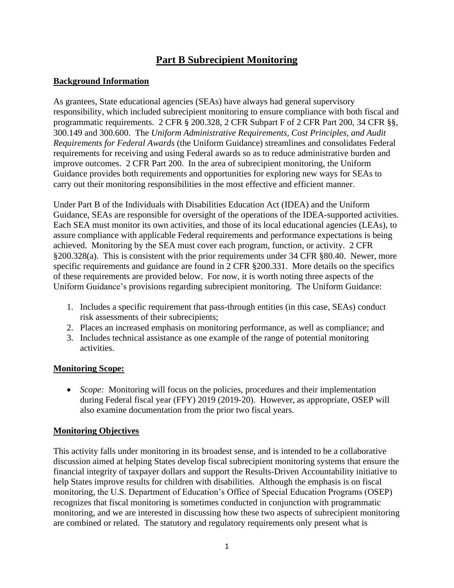# **Part B Subrecipient Monitoring**

## **Background Information**

As grantees, State educational agencies (SEAs) have always had general supervisory responsibility, which included subrecipient monitoring to ensure compliance with both fiscal and programmatic requirements. 2 CFR § 200.328, 2 CFR Subpart F of 2 CFR Part 200, 34 CFR §§, 300.149 and 300.600. The *Uniform Administrative Requirements, Cost Principles, and Audit Requirements for Federal Awards* (the Uniform Guidance) streamlines and consolidates Federal requirements for receiving and using Federal awards so as to reduce administrative burden and improve outcomes. 2 CFR Part 200. In the area of subrecipient monitoring, the Uniform Guidance provides both requirements and opportunities for exploring new ways for SEAs to carry out their monitoring responsibilities in the most effective and efficient manner.

Under Part B of the Individuals with Disabilities Education Act (IDEA) and the Uniform Guidance, SEAs are responsible for oversight of the operations of the IDEA-supported activities. Each SEA must monitor its own activities, and those of its local educational agencies (LEAs), to assure compliance with applicable Federal requirements and performance expectations is being achieved. Monitoring by the SEA must cover each program, function, or activity. 2 CFR §200.328(a). This is consistent with the prior requirements under 34 CFR §80.40. Newer, more specific requirements and guidance are found in 2 CFR §200.331. More details on the specifics of these requirements are provided below. For now, it is worth noting three aspects of the Uniform Guidance's provisions regarding subrecipient monitoring. The Uniform Guidance:

- 1. Includes a specific requirement that pass-through entities (in this case, SEAs) conduct risk assessments of their subrecipients;
- 2. Places an increased emphasis on monitoring performance, as well as compliance; and
- 3. Includes technical assistance as one example of the range of potential monitoring activities.

### **Monitoring Scope:**

• *Scope:* Monitoring will focus on the policies, procedures and their implementation during Federal fiscal year (FFY) 2019 (2019-20). However, as appropriate, OSEP will also examine documentation from the prior two fiscal years.

### **Monitoring Objectives**

This activity falls under monitoring in its broadest sense, and is intended to be a collaborative discussion aimed at helping States develop fiscal subrecipient monitoring systems that ensure the financial integrity of taxpayer dollars and support the Results-Driven Accountability initiative to help States improve results for children with disabilities. Although the emphasis is on fiscal monitoring, the U.S. Department of Education's Office of Special Education Programs (OSEP) recognizes that fiscal monitoring is sometimes conducted in conjunction with programmatic monitoring, and we are interested in discussing how these two aspects of subrecipient monitoring are combined or related. The statutory and regulatory requirements only present what is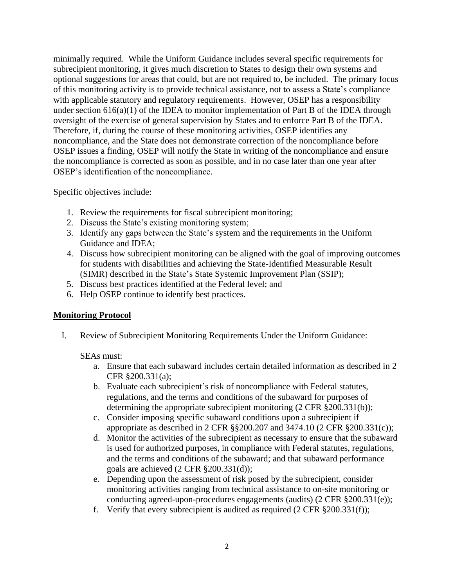minimally required. While the Uniform Guidance includes several specific requirements for subrecipient monitoring, it gives much discretion to States to design their own systems and optional suggestions for areas that could, but are not required to, be included. The primary focus of this monitoring activity is to provide technical assistance, not to assess a State's compliance with applicable statutory and regulatory requirements. However, OSEP has a responsibility under section  $616(a)(1)$  of the IDEA to monitor implementation of Part B of the IDEA through oversight of the exercise of general supervision by States and to enforce Part B of the IDEA. Therefore, if, during the course of these monitoring activities, OSEP identifies any noncompliance, and the State does not demonstrate correction of the noncompliance before OSEP issues a finding, OSEP will notify the State in writing of the noncompliance and ensure the noncompliance is corrected as soon as possible, and in no case later than one year after OSEP's identification of the noncompliance.

Specific objectives include:

- 1. Review the requirements for fiscal subrecipient monitoring;
- 2. Discuss the State's existing monitoring system;
- 3. Identify any gaps between the State's system and the requirements in the Uniform Guidance and IDEA;
- 4. Discuss how subrecipient monitoring can be aligned with the goal of improving outcomes for students with disabilities and achieving the State-Identified Measurable Result (SIMR) described in the State's State Systemic Improvement Plan (SSIP);
- 5. Discuss best practices identified at the Federal level; and
- 6. Help OSEP continue to identify best practices.

### **Monitoring Protocol**

I. Review of Subrecipient Monitoring Requirements Under the Uniform Guidance:

SEAs must:

- a. Ensure that each subaward includes certain detailed information as described in 2 CFR §200.331(a);
- b. Evaluate each subrecipient's risk of noncompliance with Federal statutes, regulations, and the terms and conditions of the subaward for purposes of determining the appropriate subrecipient monitoring (2 CFR §200.331(b));
- c. Consider imposing specific subaward conditions upon a subrecipient if appropriate as described in 2 CFR §§200.207 and 3474.10 (2 CFR §200.331(c));
- d. Monitor the activities of the subrecipient as necessary to ensure that the subaward is used for authorized purposes, in compliance with Federal statutes, regulations, and the terms and conditions of the subaward; and that subaward performance goals are achieved (2 CFR §200.331(d));
- e. Depending upon the assessment of risk posed by the subrecipient, consider monitoring activities ranging from technical assistance to on-site monitoring or conducting agreed-upon-procedures engagements (audits) (2 CFR §200.331(e));
- f. Verify that every subrecipient is audited as required  $(2 \text{ CFR } \S 200.331(f));$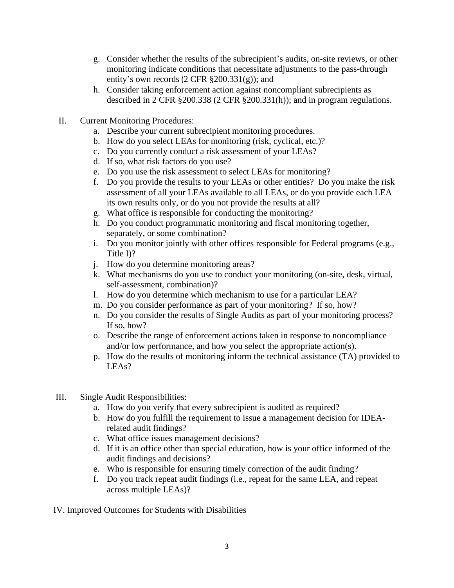- g. Consider whether the results of the subrecipient's audits, on-site reviews, or other monitoring indicate conditions that necessitate adjustments to the pass-through entity's own records  $(2 \text{ CFR } \S 200.331(g))$ ; and
- h. Consider taking enforcement action against noncompliant subrecipients as described in 2 CFR §200.338 (2 CFR §200.331(h)); and in program regulations.
- II. Current Monitoring Procedures:
	- a. Describe your current subrecipient monitoring procedures.
	- b. How do you select LEAs for monitoring (risk, cyclical, etc.)?
	- c. Do you currently conduct a risk assessment of your LEAs?
	- d. If so, what risk factors do you use?
	- e. Do you use the risk assessment to select LEAs for monitoring?
	- f. Do you provide the results to your LEAs or other entities? Do you make the risk assessment of all your LEAs available to all LEAs, or do you provide each LEA its own results only, or do you not provide the results at all?
	- g. What office is responsible for conducting the monitoring?
	- h. Do you conduct programmatic monitoring and fiscal monitoring together, separately, or some combination?
	- i. Do you monitor jointly with other offices responsible for Federal programs (e.g., Title I)?
	- j. How do you determine monitoring areas?
	- k. What mechanisms do you use to conduct your monitoring (on-site, desk, virtual, self-assessment, combination)?
	- l. How do you determine which mechanism to use for a particular LEA?
	- m. Do you consider performance as part of your monitoring? If so, how?
	- n. Do you consider the results of Single Audits as part of your monitoring process? If so, how?
	- o. Describe the range of enforcement actions taken in response to noncompliance and/or low performance, and how you select the appropriate action(s).
	- p. How do the results of monitoring inform the technical assistance (TA) provided to LEAs?
- III. Single Audit Responsibilities:
	- a. How do you verify that every subrecipient is audited as required?
	- b. How do you fulfill the requirement to issue a management decision for IDEArelated audit findings?
	- c. What office issues management decisions?
	- d. If it is an office other than special education, how is your office informed of the audit findings and decisions?
	- e. Who is responsible for ensuring timely correction of the audit finding?
	- f. Do you track repeat audit findings (i.e., repeat for the same LEA, and repeat across multiple LEAs)?

IV. Improved Outcomes for Students with Disabilities